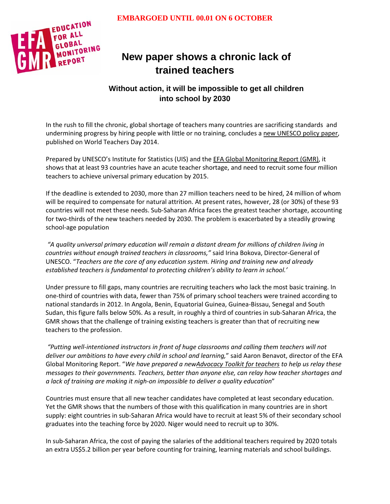

# **New paper shows a chronic lack of trained teachers**

## **Without action, it will be impossible to get all children into school by 2030**

In the rush to fill the chronic, global shortage of teachers many countries are sacrificing standards and undermining progress by hiring people with little or no training, concludes a new [UNESCO](http://unesdoc.unesco.org/images/0022/002299/229913E.pdf) policy paper, published on World Teachers Day 2014.

Prepared by UNESCO's Institute for Statistics (UIS) and the EFA Global [Monitoring](http://www.unesco.org/new/en/education/themes/leading-the-international-agenda/efareport/reports/2015/photography-competition/) Report (GMR), it shows that at least 93 countries have an acute teacher shortage, and need to recruit some four million teachers to achieve universal primary education by 2015.

If the deadline is extended to 2030, more than 27 million teachers need to be hired, 24 million of whom will be required to compensate for natural attrition. At present rates, however, 28 (or 30%) of these 93 countries will not meet these needs. Sub-Saharan Africa faces the greatest teacher shortage, accounting for two-thirds of the new teachers needed by 2030. The problem is exacerbated by a steadily growing school-age population

*"A quality universal primary education will remain a distant dream for millions of children living in countries without enough trained teachers in classrooms,"* said Irina Bokova, Director-General of UNESCO. "*Teachers are the core of any education system. Hiring and training new and already established teachers is fundamental to protecting children's ability to learn in school.'*

Under pressure to fill gaps, many countries are recruiting teachers who lack the most basic training. In one-third of countries with data, fewer than 75% of primary school teachers were trained according to national standards in 2012. In Angola, Benin, Equatorial Guinea, Guinea-Bissau, Senegal and South Sudan, this figure falls below 50%. As a result, in roughly a third of countries in sub-Saharan Africa, the GMR shows that the challenge of training existing teachers is greater than that of recruiting new teachers to the profession.

*"Putting well-intentioned instructors in front of huge classrooms and calling them teachers will not deliver our ambitions to have every child in school and learning,*" said Aaron Benavot, director of the EFA Global Monitoring Report. "*We have prepared a ne[wAdvocacy](https://bit.ly/teacheradvocacy) Toolkit for teachers to help us relay these messages to their governments. Teachers, better than anyone else, can relay how teacher shortages and a lack of training are making it nigh-on impossible to deliver a quality education*"

Countries must ensure that all new teacher candidates have completed at least secondary education. Yet the GMR shows that the numbers of those with this qualification in many countries are in short supply: eight countries in sub-Saharan Africa would have to recruit at least 5% of their secondary school graduates into the teaching force by 2020. Niger would need to recruit up to 30%.

In sub-Saharan Africa, the cost of paying the salaries of the additional teachers required by 2020 totals an extra US\$5.2 billion per year before counting for training, learning materials and school buildings.